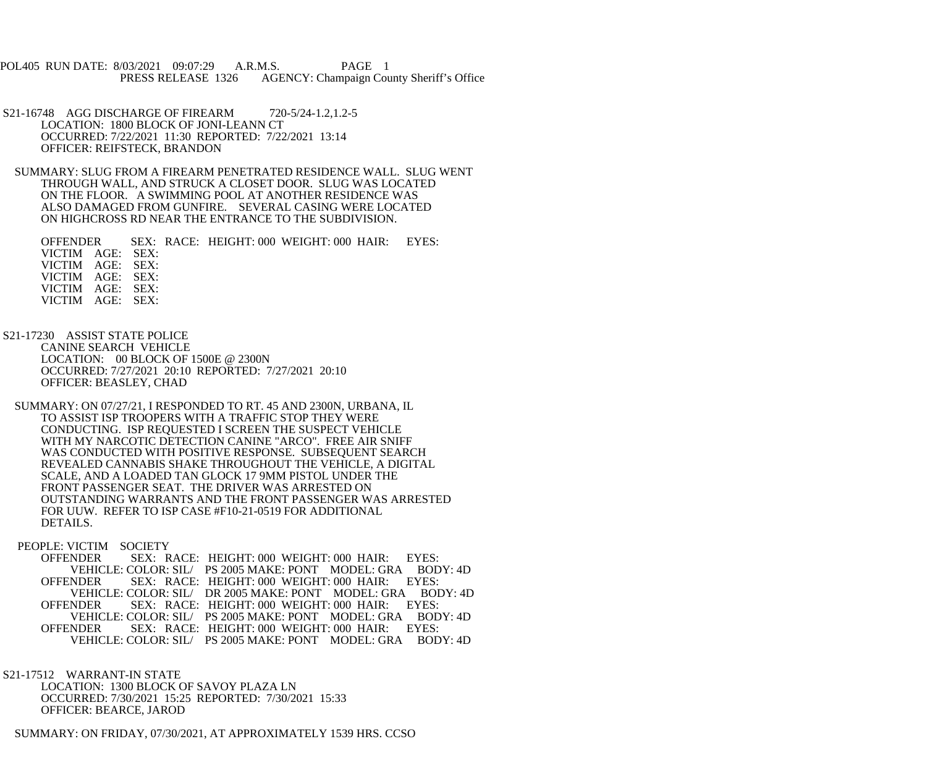POL405 RUN DATE: 8/03/2021 09:07:29 A.R.M.S. PAGE 1 PRESS RELEASE 1326 AGENCY: Champaign County Sheriff's Office

 S21-16748 AGG DISCHARGE OF FIREARM 720-5/24-1.2,1.2-5 LOCATION: 1800 BLOCK OF JONI-LEANN CT OCCURRED: 7/22/2021 11:30 REPORTED: 7/22/2021 13:14 OFFICER: REIFSTECK, BRANDON

 SUMMARY: SLUG FROM A FIREARM PENETRATED RESIDENCE WALL. SLUG WENT THROUGH WALL, AND STRUCK A CLOSET DOOR. SLUG WAS LOCATED ON THE FLOOR. A SWIMMING POOL AT ANOTHER RESIDENCE WAS ALSO DAMAGED FROM GUNFIRE. SEVERAL CASING WERE LOCATED ON HIGHCROSS RD NEAR THE ENTRANCE TO THE SUBDIVISION.

 OFFENDER SEX: RACE: HEIGHT: 000 WEIGHT: 000 HAIR: EYES: VICTIM AGE: SEX: VICTIM AGE: SEX: VICTIM AGE: SEX: VICTIM AGE: SEX: VICTIM AGE: SEX:

 S21-17230 ASSIST STATE POLICE CANINE SEARCH VEHICLE LOCATION: 00 BLOCK OF 1500E @ 2300N OCCURRED: 7/27/2021 20:10 REPORTED: 7/27/2021 20:10 OFFICER: BEASLEY, CHAD

 SUMMARY: ON 07/27/21, I RESPONDED TO RT. 45 AND 2300N, URBANA, IL TO ASSIST ISP TROOPERS WITH A TRAFFIC STOP THEY WERE CONDUCTING. ISP REQUESTED I SCREEN THE SUSPECT VEHICLE WITH MY NARCOTIC DETECTION CANINE "ARCO". FREE AIR SNIFF WAS CONDUCTED WITH POSITIVE RESPONSE. SUBSEQUENT SEARCH REVEALED CANNABIS SHAKE THROUGHOUT THE VEHICLE, A DIGITAL SCALE, AND A LOADED TAN GLOCK 17 9MM PISTOL UNDER THE FRONT PASSENGER SEAT. THE DRIVER WAS ARRESTED ON OUTSTANDING WARRANTS AND THE FRONT PASSENGER WAS ARRESTED FOR UUW. REFER TO ISP CASE #F10-21-0519 FOR ADDITIONAL DETAILS.

PEOPLE: VICTIM SOCIETY<br>OFFENDER SEX: R

SEX: RACE: HEIGHT: 000 WEIGHT: 000 HAIR: EYES: VEHICLE: COLOR: SIL/ PS 2005 MAKE: PONT MODEL: GRA BODY: 4D<br>OFFENDER SEX: RACE: HEIGHT: 000 WEIGHT: 000 HAIR: EYES: SEX: RACE: HEIGHT: 000 WEIGHT: 000 HAIR: EYES: VEHICLE: COLOR: SIL/ DR 2005 MAKE: PONT MODEL: GRA BODY: 4D<br>OFFENDER SEX: RACE: HEIGHT: 000 WEIGHT: 000 HAIR: EYES: SEX: RACE: HEIGHT: 000 WEIGHT: 000 HAIR: EYES: VEHICLE: COLOR: SIL/ PS 2005 MAKE: PONT MODEL: GRA BODY: 4D OFFENDER SEX: RACE: HEIGHT: 000 WEIGHT: 000 HAIR: EYES: VEHICLE: COLOR: SIL/ PS 2005 MAKE: PONT MODEL: GRA BODY: 4D

 S21-17512 WARRANT-IN STATE LOCATION: 1300 BLOCK OF SAVOY PLAZA LN OCCURRED: 7/30/2021 15:25 REPORTED: 7/30/2021 15:33 OFFICER: BEARCE, JAROD

SUMMARY: ON FRIDAY, 07/30/2021, AT APPROXIMATELY 1539 HRS. CCSO